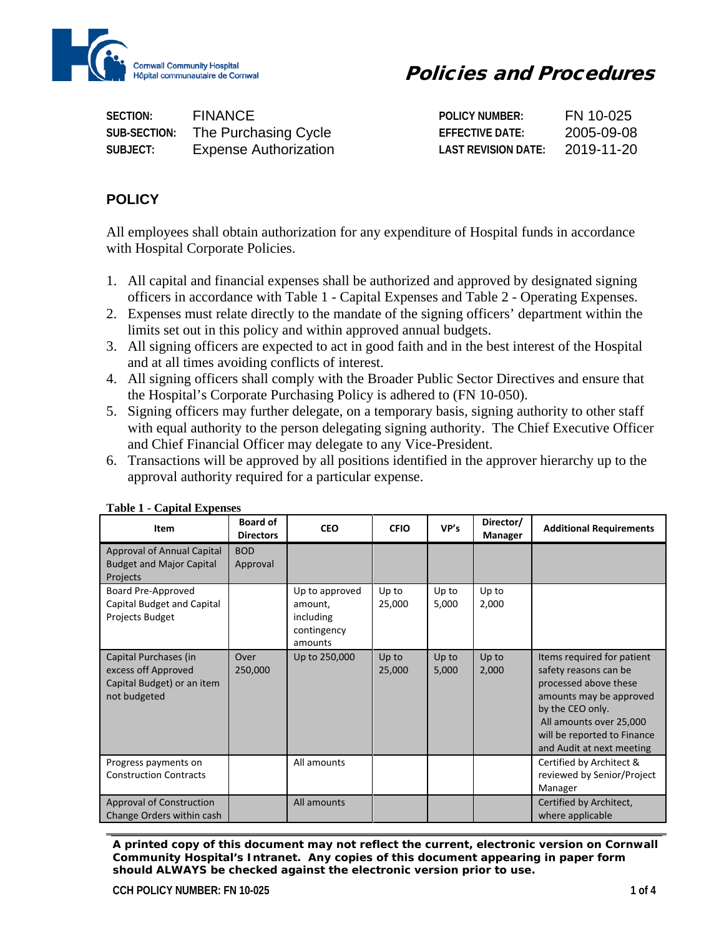

| SECTION:     | FINANCE                      | POLICY NUMBER:         | FЫ.                 |
|--------------|------------------------------|------------------------|---------------------|
| SUB-SECTION: | The Purchasing Cycle         | <b>EFFECTIVE DATE:</b> | $09 - 08$<br>2005-0 |
| SUBJECT:     | <b>Expense Authorization</b> | LAST REVISION DATE:    | 2019-11-20          |

### **POLICY**

All employees shall obtain authorization for any expenditure of Hospital funds in accordance with Hospital Corporate Policies.

- 1. All capital and financial expenses shall be authorized and approved by designated signing officers in accordance with Table 1 - [Capital Expenses](#page-0-0) and Table 2 - [Operating Expenses.](#page-1-0)
- 2. Expenses must relate directly to the mandate of the signing officers' department within the limits set out in this policy and within approved annual budgets.
- 3. All signing officers are expected to act in good faith and in the best interest of the Hospital and at all times avoiding conflicts of interest.
- 4. All signing officers shall comply with the Broader Public Sector Directives and ensure that the Hospital's Corporate Purchasing Policy is adhered to (FN 10-050).
- 5. Signing officers may further delegate, on a temporary basis, signing authority to other staff with equal authority to the person delegating signing authority. The Chief Executive Officer and Chief Financial Officer may delegate to any Vice-President.
- 6. Transactions will be approved by all positions identified in the approver hierarchy up to the approval authority required for a particular expense.

| Item                                                                                       | <b>Board of</b><br><b>Directors</b> | <b>CEO</b>                                                       | <b>CFIO</b>     | VP's           | Director/<br><b>Manager</b> | <b>Additional Requirements</b>                                                                                                                                                                                     |
|--------------------------------------------------------------------------------------------|-------------------------------------|------------------------------------------------------------------|-----------------|----------------|-----------------------------|--------------------------------------------------------------------------------------------------------------------------------------------------------------------------------------------------------------------|
| Approval of Annual Capital<br><b>Budget and Major Capital</b><br>Projects                  | <b>BOD</b><br>Approval              |                                                                  |                 |                |                             |                                                                                                                                                                                                                    |
| Board Pre-Approved<br>Capital Budget and Capital<br>Projects Budget                        |                                     | Up to approved<br>amount.<br>including<br>contingency<br>amounts | Up to<br>25,000 | Up to<br>5,000 | Up to<br>2,000              |                                                                                                                                                                                                                    |
| Capital Purchases (in<br>excess off Approved<br>Capital Budget) or an item<br>not budgeted | Over<br>250,000                     | Up to 250,000                                                    | Up to<br>25,000 | Up to<br>5,000 | Up to<br>2,000              | Items required for patient<br>safety reasons can be<br>processed above these<br>amounts may be approved<br>by the CEO only.<br>All amounts over 25,000<br>will be reported to Finance<br>and Audit at next meeting |
| Progress payments on<br><b>Construction Contracts</b>                                      |                                     | All amounts                                                      |                 |                |                             | Certified by Architect &<br>reviewed by Senior/Project<br>Manager                                                                                                                                                  |
| <b>Approval of Construction</b><br>Change Orders within cash                               |                                     | All amounts                                                      |                 |                |                             | Certified by Architect,<br>where applicable                                                                                                                                                                        |

### <span id="page-0-0"></span>**Table 1 - Capital Expenses**

*A printed copy of this document may not reflect the current, electronic version on Cornwall Community Hospital's Intranet. Any copies of this document appearing in paper form should ALWAYS be checked against the electronic version prior to use.*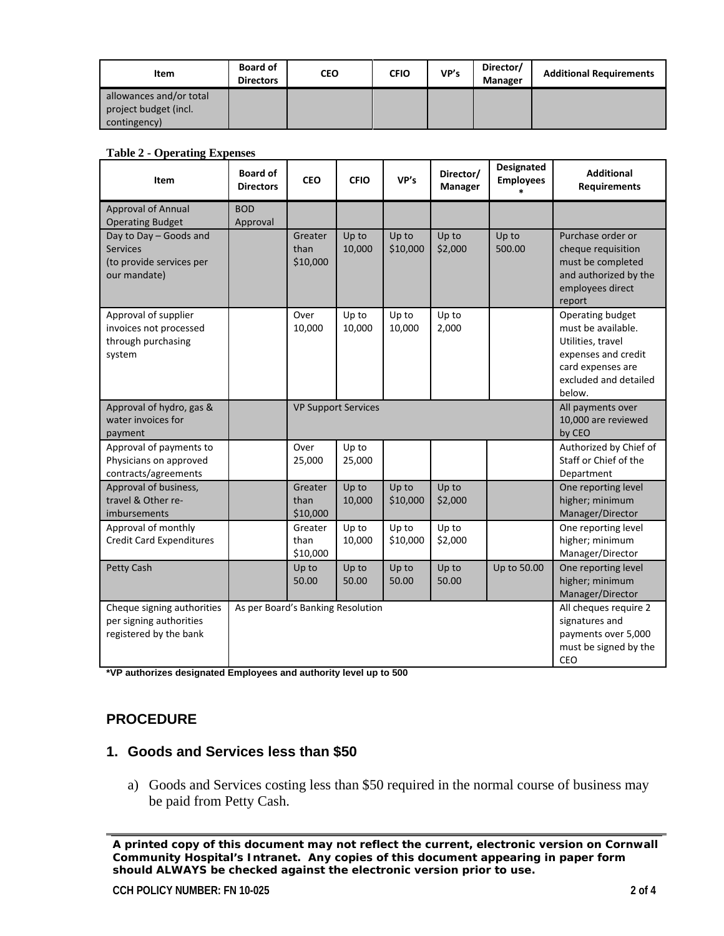| Item                    | <b>Board of</b><br><b>Directors</b> | CEO | <b>CFIO</b> | VP's | Director/<br><b>Manager</b> | <b>Additional Requirements</b> |
|-------------------------|-------------------------------------|-----|-------------|------|-----------------------------|--------------------------------|
| allowances and/or total |                                     |     |             |      |                             |                                |
| project budget (incl.   |                                     |     |             |      |                             |                                |
| contingency)            |                                     |     |             |      |                             |                                |

#### <span id="page-1-0"></span>**Table 2 - Operating Expenses**

| Item                                                                                  | <b>Board of</b><br><b>Directors</b> | <b>CEO</b>                  | <b>CFIO</b>                | VP's              | Director/<br><b>Manager</b> | Designated<br><b>Employees</b> | <b>Additional</b><br><b>Requirements</b>                                                                                                   |
|---------------------------------------------------------------------------------------|-------------------------------------|-----------------------------|----------------------------|-------------------|-----------------------------|--------------------------------|--------------------------------------------------------------------------------------------------------------------------------------------|
| <b>Approval of Annual</b><br><b>Operating Budget</b>                                  | <b>BOD</b><br>Approval              |                             |                            |                   |                             |                                |                                                                                                                                            |
| Day to Day - Goods and<br><b>Services</b><br>(to provide services per<br>our mandate) |                                     | Greater<br>than<br>\$10,000 | Up to<br>10,000            | Up to<br>\$10,000 | Up to<br>\$2,000            | Up to<br>500.00                | Purchase order or<br>cheque requisition<br>must be completed<br>and authorized by the<br>employees direct<br>report                        |
| Approval of supplier<br>invoices not processed<br>through purchasing<br>system        |                                     | Over<br>10,000              | Up to<br>10,000            | Up to<br>10,000   | Up to<br>2,000              |                                | Operating budget<br>must be available.<br>Utilities, travel<br>expenses and credit<br>card expenses are<br>excluded and detailed<br>below. |
| Approval of hydro, gas &<br>water invoices for<br>payment                             |                                     |                             | <b>VP Support Services</b> |                   |                             |                                | All payments over<br>10,000 are reviewed<br>by CEO                                                                                         |
| Approval of payments to<br>Physicians on approved<br>contracts/agreements             |                                     | Over<br>25,000              | Up to<br>25,000            |                   |                             |                                | Authorized by Chief of<br>Staff or Chief of the<br>Department                                                                              |
| Approval of business,<br>travel & Other re-<br>imbursements                           |                                     | Greater<br>than<br>\$10,000 | Up to<br>10,000            | Up to<br>\$10,000 | Up to<br>\$2,000            |                                | One reporting level<br>higher; minimum<br>Manager/Director                                                                                 |
| Approval of monthly<br><b>Credit Card Expenditures</b>                                |                                     | Greater<br>than<br>\$10,000 | Up to<br>10,000            | Up to<br>\$10,000 | Up to<br>\$2,000            |                                | One reporting level<br>higher; minimum<br>Manager/Director                                                                                 |
| Petty Cash                                                                            |                                     | Up to<br>50.00              | Up to<br>50.00             | Up to<br>50.00    | Up to<br>50.00              | Up to 50.00                    | One reporting level<br>higher; minimum<br>Manager/Director                                                                                 |
| Cheque signing authorities<br>per signing authorities<br>registered by the bank       | As per Board's Banking Resolution   |                             |                            |                   |                             |                                | All cheques require 2<br>signatures and<br>payments over 5,000<br>must be signed by the<br>CEO                                             |

**\*VP authorizes designated Employees and authority level up to 500**

### **PROCEDURE**

### **1. Goods and Services less than \$50**

a) Goods and Services costing less than \$50 required in the normal course of business may be paid from Petty Cash.

*A printed copy of this document may not reflect the current, electronic version on Cornwall Community Hospital's Intranet. Any copies of this document appearing in paper form should ALWAYS be checked against the electronic version prior to use.*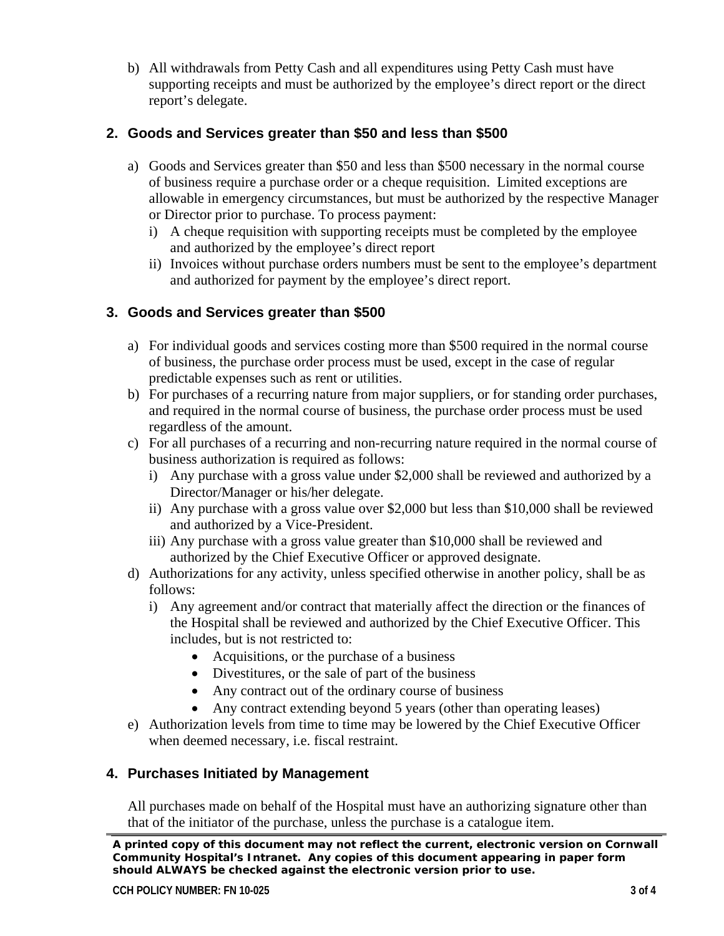b) All withdrawals from Petty Cash and all expenditures using Petty Cash must have supporting receipts and must be authorized by the employee's direct report or the direct report's delegate.

# **2. Goods and Services greater than \$50 and less than \$500**

- a) Goods and Services greater than \$50 and less than \$500 necessary in the normal course of business require a purchase order or a cheque requisition. Limited exceptions are allowable in emergency circumstances, but must be authorized by the respective Manager or Director prior to purchase. To process payment:
	- i) A cheque requisition with supporting receipts must be completed by the employee and authorized by the employee's direct report
	- ii) Invoices without purchase orders numbers must be sent to the employee's department and authorized for payment by the employee's direct report.

## **3. Goods and Services greater than \$500**

- a) For individual goods and services costing more than \$500 required in the normal course of business, the purchase order process must be used, except in the case of regular predictable expenses such as rent or utilities.
- b) For purchases of a recurring nature from major suppliers, or for standing order purchases, and required in the normal course of business, the purchase order process must be used regardless of the amount.
- c) For all purchases of a recurring and non-recurring nature required in the normal course of business authorization is required as follows:
	- i) Any purchase with a gross value under \$2,000 shall be reviewed and authorized by a Director/Manager or his/her delegate.
	- ii) Any purchase with a gross value over \$2,000 but less than \$10,000 shall be reviewed and authorized by a Vice-President.
	- iii) Any purchase with a gross value greater than \$10,000 shall be reviewed and authorized by the Chief Executive Officer or approved designate.
- d) Authorizations for any activity, unless specified otherwise in another policy, shall be as follows:
	- i) Any agreement and/or contract that materially affect the direction or the finances of the Hospital shall be reviewed and authorized by the Chief Executive Officer. This includes, but is not restricted to:
		- Acquisitions, or the purchase of a business
		- Divestitures, or the sale of part of the business
		- Any contract out of the ordinary course of business
		- Any contract extending beyond 5 years (other than operating leases)
- e) Authorization levels from time to time may be lowered by the Chief Executive Officer when deemed necessary, i.e. fiscal restraint.

### **4. Purchases Initiated by Management**

All purchases made on behalf of the Hospital must have an authorizing signature other than that of the initiator of the purchase, unless the purchase is a catalogue item.

*A printed copy of this document may not reflect the current, electronic version on Cornwall Community Hospital's Intranet. Any copies of this document appearing in paper form should ALWAYS be checked against the electronic version prior to use.*